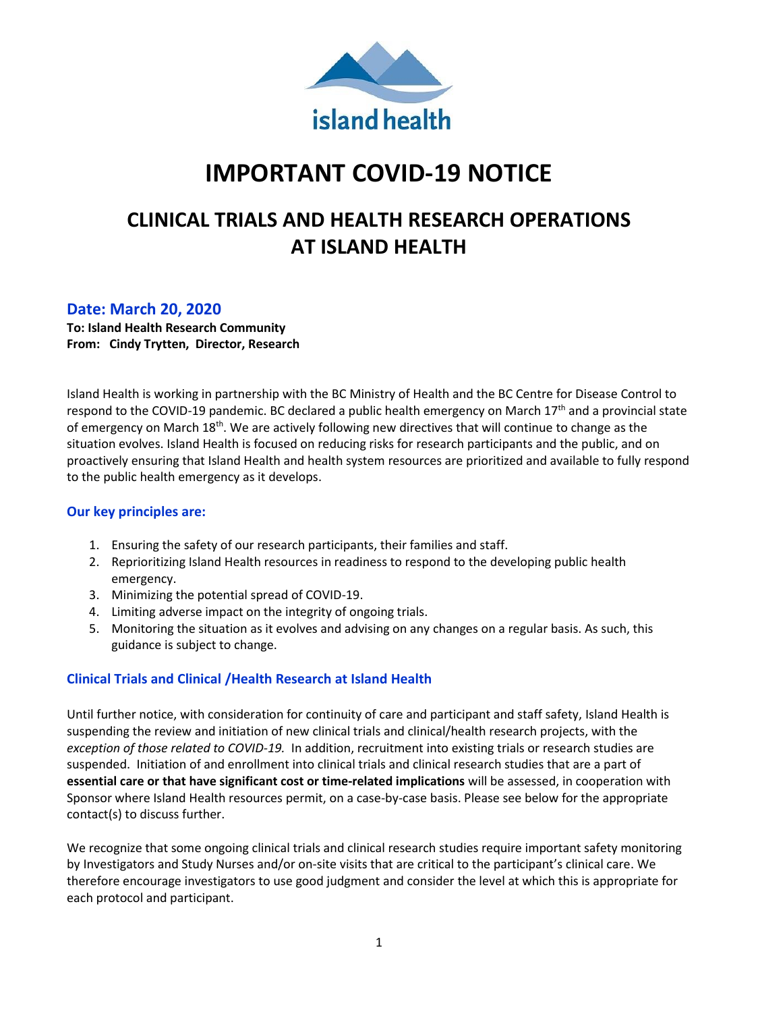

# **IMPORTANT COVID-19 NOTICE**

## **CLINICAL TRIALS AND HEALTH RESEARCH OPERATIONS AT ISLAND HEALTH**

## **Date: March 20, 2020**

**To: Island Health Research Community From: Cindy Trytten, Director, Research** 

Island Health is working in partnership with the BC Ministry of Health and the BC Centre for Disease Control to respond to the COVID-19 pandemic. BC declared a public health emergency on March 17<sup>th</sup> and a provincial state of emergency on March 18<sup>th</sup>. We are actively following new directives that will continue to change as the situation evolves. Island Health is focused on reducing risks for research participants and the public, and on proactively ensuring that Island Health and health system resources are prioritized and available to fully respond to the public health emergency as it develops.

### **Our key principles are:**

- 1. Ensuring the safety of our research participants, their families and staff.
- 2. Reprioritizing Island Health resources in readiness to respond to the developing public health emergency.
- 3. Minimizing the potential spread of COVID-19.
- 4. Limiting adverse impact on the integrity of ongoing trials.
- 5. Monitoring the situation as it evolves and advising on any changes on a regular basis. As such, this guidance is subject to change.

## **Clinical Trials and Clinical /Health Research at Island Health**

Until further notice, with consideration for continuity of care and participant and staff safety, Island Health is suspending the review and initiation of new clinical trials and clinical/health research projects, with the *exception of those related to COVID-19.* In addition, recruitment into existing trials or research studies are suspended. Initiation of and enrollment into clinical trials and clinical research studies that are a part of **essential care or that have significant cost or time-related implications** will be assessed, in cooperation with Sponsor where Island Health resources permit, on a case-by-case basis. Please see below for the appropriate contact(s) to discuss further.

We recognize that some ongoing clinical trials and clinical research studies require important safety monitoring by Investigators and Study Nurses and/or on-site visits that are critical to the participant's clinical care. We therefore encourage investigators to use good judgment and consider the level at which this is appropriate for each protocol and participant.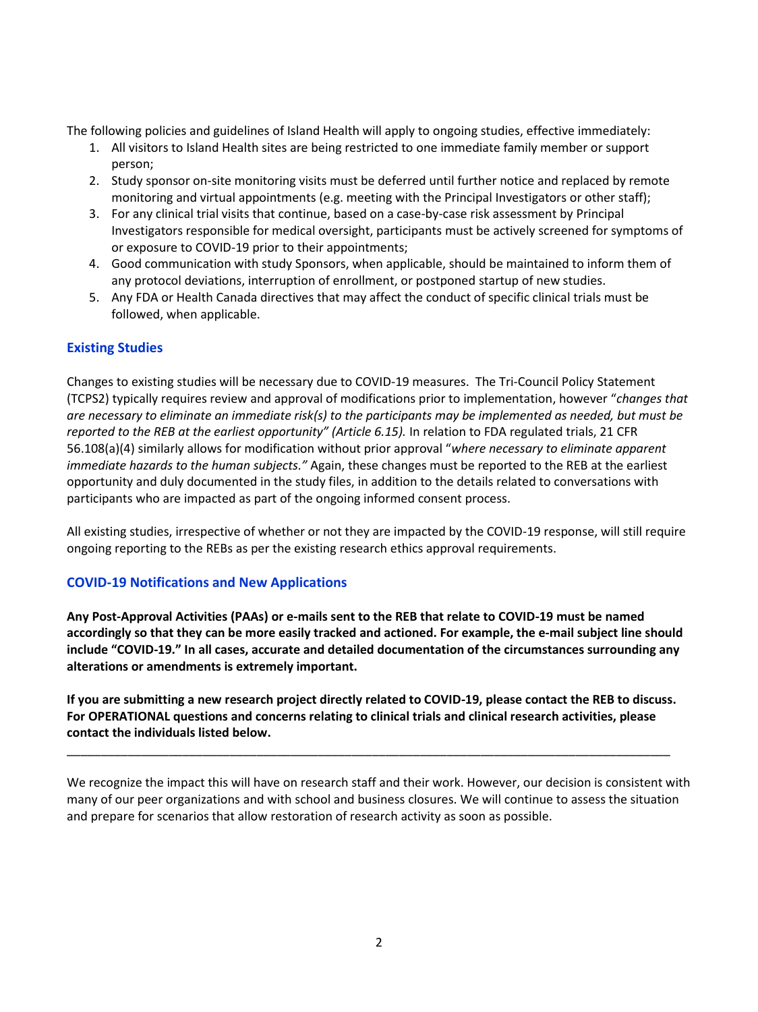The following policies and guidelines of Island Health will apply to ongoing studies, effective immediately:

- 1. All visitors to Island Health sites are being restricted to one immediate family member or support person;
- 2. Study sponsor on-site monitoring visits must be deferred until further notice and replaced by remote monitoring and virtual appointments (e.g. meeting with the Principal Investigators or other staff);
- 3. For any clinical trial visits that continue, based on a case-by-case risk assessment by Principal Investigators responsible for medical oversight, participants must be actively screened for symptoms of or exposure to COVID-19 prior to their appointments;
- 4. Good communication with study Sponsors, when applicable, should be maintained to inform them of any protocol deviations, interruption of enrollment, or postponed startup of new studies.
- 5. Any FDA or Health Canada directives that may affect the conduct of specific clinical trials must be followed, when applicable.

## **Existing Studies**

Changes to existing studies will be necessary due to COVID-19 measures. The Tri-Council Policy Statement (TCPS2) typically requires review and approval of modifications prior to implementation, however "*changes that are necessary to eliminate an immediate risk(s) to the participants may be implemented as needed, but must be reported to the REB at the earliest opportunity" (Article 6.15).* In relation to FDA regulated trials, 21 CFR 56.108(a)(4) similarly allows for modification without prior approval "*where necessary to eliminate apparent immediate hazards to the human subjects."* Again, these changes must be reported to the REB at the earliest opportunity and duly documented in the study files, in addition to the details related to conversations with participants who are impacted as part of the ongoing informed consent process.

All existing studies, irrespective of whether or not they are impacted by the COVID-19 response, will still require ongoing reporting to the REBs as per the existing research ethics approval requirements.

#### **COVID-19 Notifications and New Applications**

**Any Post-Approval Activities (PAAs) or e-mails sent to the REB that relate to COVID-19 must be named accordingly so that they can be more easily tracked and actioned. For example, the e-mail subject line should include "COVID-19." In all cases, accurate and detailed documentation of the circumstances surrounding any alterations or amendments is extremely important.** 

**If you are submitting a new research project directly related to COVID-19, please contact the REB to discuss. For OPERATIONAL questions and concerns relating to clinical trials and clinical research activities, please contact the individuals listed below.**

\_\_\_\_\_\_\_\_\_\_\_\_\_\_\_\_\_\_\_\_\_\_\_\_\_\_\_\_\_\_\_\_\_\_\_\_\_\_\_\_\_\_\_\_\_\_\_\_\_\_\_\_\_\_\_\_\_\_\_\_\_\_\_\_\_\_\_\_\_\_\_\_\_\_\_\_\_\_\_\_\_\_\_\_\_\_\_\_\_

We recognize the impact this will have on research staff and their work. However, our decision is consistent with many of our peer organizations and with school and business closures. We will continue to assess the situation and prepare for scenarios that allow restoration of research activity as soon as possible.